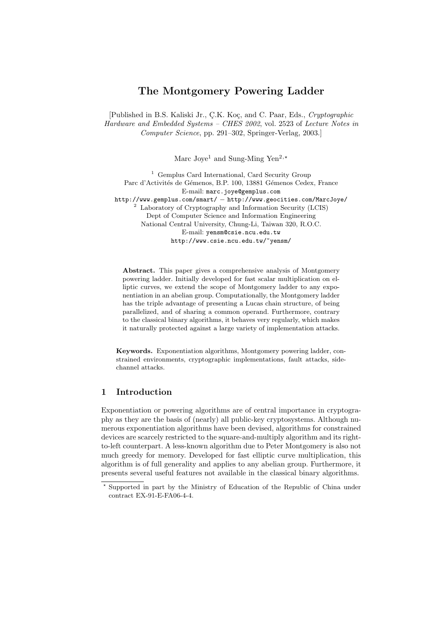# The Montgomery Powering Ladder

[Published in B.S. Kaliski Jr., Ç.K. Koç, and C. Paar, Eds., Cryptographic Hardware and Embedded Systems – CHES 2002, vol. 2523 of Lecture Notes in Computer Science, pp. 291–302, Springer-Verlag, 2003.]

Marc Joye<sup>1</sup> and Sung-Ming Yen<sup>2,\*</sup>

<sup>1</sup> Gemplus Card International, Card Security Group Parc d'Activités de Gémenos, B.P. 100, 13881 Gémenos Cedex, France E-mail: marc.joye@gemplus.com http://www.gemplus.com/smart/ − http://www.geocities.com/MarcJoye/ <sup>2</sup> Laboratory of Cryptography and Information Security (LCIS) Dept of Computer Science and Information Engineering National Central University, Chung-Li, Taiwan 320, R.O.C. E-mail: yensm@csie.ncu.edu.tw http://www.csie.ncu.edu.tw/~yensm/

Abstract. This paper gives a comprehensive analysis of Montgomery powering ladder. Initially developed for fast scalar multiplication on elliptic curves, we extend the scope of Montgomery ladder to any exponentiation in an abelian group. Computationally, the Montgomery ladder has the triple advantage of presenting a Lucas chain structure, of being parallelized, and of sharing a common operand. Furthermore, contrary to the classical binary algorithms, it behaves very regularly, which makes it naturally protected against a large variety of implementation attacks.

Keywords. Exponentiation algorithms, Montgomery powering ladder, constrained environments, cryptographic implementations, fault attacks, sidechannel attacks.

# 1 Introduction

Exponentiation or powering algorithms are of central importance in cryptography as they are the basis of (nearly) all public-key cryptosystems. Although numerous exponentiation algorithms have been devised, algorithms for constrained devices are scarcely restricted to the square-and-multiply algorithm and its rightto-left counterpart. A less-known algorithm due to Peter Montgomery is also not much greedy for memory. Developed for fast elliptic curve multiplication, this algorithm is of full generality and applies to any abelian group. Furthermore, it presents several useful features not available in the classical binary algorithms.

<sup>?</sup> Supported in part by the Ministry of Education of the Republic of China under contract EX-91-E-FA06-4-4.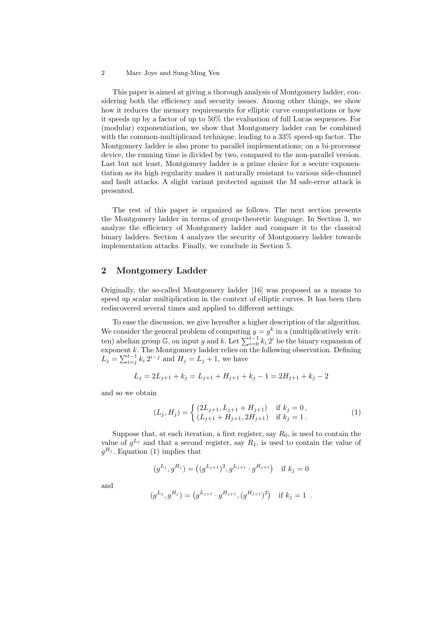This paper is aimed at giving a thorough analysis of Montgomery ladder, considering both the efficiency and security issues. Among other things, we show how it reduces the memory requirements for elliptic curve computations or how it speeds up by a factor of up to 50% the evaluation of full Lucas sequences. For (modular) exponentiation, we show that Montgomery ladder can be combined with the common-multiplicand technique, leading to a 33% speed-up factor. The Montgomery ladder is also prone to parallel implementations; on a bi-processor device, the running time is divided by two, compared to the non-parallel version. Last but not least, Montgomery ladder is a prime choice for a secure exponentiation as its high regularity makes it naturally resistant to various side-channel and fault attacks. A slight variant protected against the M safe-error attack is presented.

The rest of this paper is organized as follows. The next section presents the Montgomery ladder in terms of group-theoretic language. In Section 3, we analyze the efficiency of Montgomery ladder and compare it to the classical binary ladders. Section 4 analyzes the security of Montgomery ladder towards implementation attacks. Finally, we conclude in Section 5.

# 2 Montgomery Ladder

Originally, the so-called Montgomery ladder [16] was proposed as a means to speed up scalar multiplication in the context of elliptic curves. It has been then rediscovered several times and applied to different settings.

To ease the discussion, we give hereafter a higher description of the algorithm. We consider the general problem of computing  $y = g^k$  in a (multiplicatively written) abelian group  $\mathbb{G}$ , on input g and k. Let  $\sum_{i=0}^{t-1} k_i 2^i$  be the binary expansion of exponent  $k$ . The Montgomery ladder relies on the following observation. Defining exponent  $k$ . The Montgomery ladder renes on<br>  $L_j = \sum_{i=j}^{t-1} k_i 2^{i-j}$  and  $H_j = L_j + 1$ , we have

$$
L_j = 2L_{j+1} + k_j = L_{j+1} + H_{j+1} + k_j - 1 = 2H_{j+1} + k_j - 2
$$

and so we obtain

$$
(L_j, H_j) = \begin{cases} (2L_{j+1}, L_{j+1} + H_{j+1}) & \text{if } k_j = 0, \\ (L_{j+1} + H_{j+1}, 2H_{j+1}) & \text{if } k_j = 1. \end{cases}
$$
 (1)

Suppose that, at each iteration, a first register, say  $R_0$ , is used to contain the value of  $g^{L_j}$  and that a second register, say  $R_1$ , is used to contain the value of  $g^{H_j}$ . Equation (1) implies that

$$
(g^{L_j}, g^{H_j}) = ((g^{L_{j+1}})^2, g^{L_{j+1}} \cdot g^{H_{j+1}})
$$
 if  $k_j = 0$ 

and

$$
(g^{L_j}, g^{H_j}) = (g^{L_{j+1}} \cdot g^{H_{j+1}}, (g^{H_{j+1}})^2)
$$
 if  $k_j = 1$ .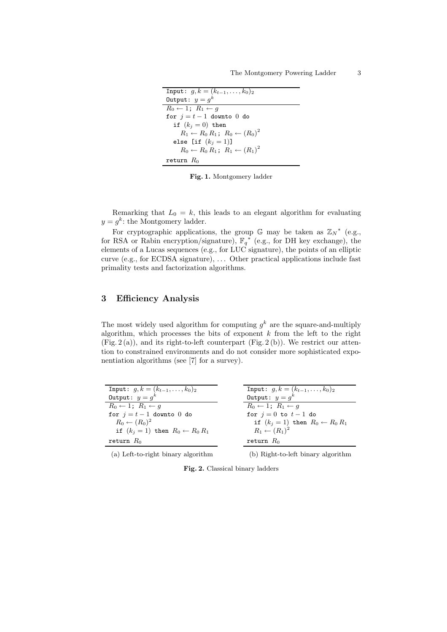```
Input: g, k = (k_{t-1}, \ldots, k_0)_2Output: y = g^kR_0 \leftarrow 1; R_1 \leftarrow gfor j = t - 1 downto 0 do
   if (k_j = 0) then
      R_1 \leftarrow R_0 R_1; R_0 \leftarrow (R_0)^2else [if (k_j = 1)]
      R_0 \leftarrow R_0 R_1; R_1 \leftarrow (R_1)^2return R_0
```
Fig. 1. Montgomery ladder

Remarking that  $L_0 = k$ , this leads to an elegant algorithm for evaluating  $y = g^k$ : the Montgomery ladder.

For cryptographic applications, the group  $\mathbb{G}$  may be taken as  $\mathbb{Z}_N^*$  (e.g., for RSA or Rabin encryption/signature),  $\mathbb{F}_q^*$  (e.g., for DH key exchange), the elements of a Lucas sequences (e.g., for LUC signature), the points of an elliptic curve (e.g., for ECDSA signature),  $\dots$  Other practical applications include fast primality tests and factorization algorithms.

# 3 Efficiency Analysis

The most widely used algorithm for computing  $g^k$  are the square-and-multiply algorithm, which processes the bits of exponent  $k$  from the left to the right  $(Fig. 2(a))$ , and its right-to-left counterpart  $(Fig. 2(b))$ . We restrict our attention to constrained environments and do not consider more sophisticated exponentiation algorithms (see [7] for a survey).

| Input: $q, k = (k_{t-1}, \ldots, k_0)_2$     | Input: $g, k = (k_{t-1}, \ldots, k_0)_2$                                                                                                                                                                                                                                                                           |
|----------------------------------------------|--------------------------------------------------------------------------------------------------------------------------------------------------------------------------------------------------------------------------------------------------------------------------------------------------------------------|
| Output: $y = g^k$                            | Output: $y = g^k$                                                                                                                                                                                                                                                                                                  |
| $R_0 \leftarrow 1: R_1 \leftarrow q$         | $R_0 \leftarrow 1$ ; $R_1 \leftarrow q$                                                                                                                                                                                                                                                                            |
| for $j=t-1$ downto 0 do                      | for $i=0$ to $t-1$ do                                                                                                                                                                                                                                                                                              |
| $R_0 \leftarrow (R_0)^2$                     | if $(k_j = 1)$ then $R_0 \leftarrow R_0 R_1$                                                                                                                                                                                                                                                                       |
| if $(k_i = 1)$ then $R_0 \leftarrow R_0 R_1$ | $R_1 \leftarrow (R_1)^2$                                                                                                                                                                                                                                                                                           |
| return $R_0$                                 | return $R_0$                                                                                                                                                                                                                                                                                                       |
|                                              | $\sqrt{1}$ $\sqrt{1}$ $\sqrt{1}$ $\sqrt{1}$ $\sqrt{1}$ $\sqrt{1}$ $\sqrt{1}$ $\sqrt{1}$ $\sqrt{1}$ $\sqrt{1}$ $\sqrt{1}$ $\sqrt{1}$ $\sqrt{1}$ $\sqrt{1}$ $\sqrt{1}$ $\sqrt{1}$ $\sqrt{1}$ $\sqrt{1}$ $\sqrt{1}$ $\sqrt{1}$ $\sqrt{1}$ $\sqrt{1}$ $\sqrt{1}$ $\sqrt{1}$ $\sqrt{1}$ $\sqrt{1}$ $\sqrt{1}$ $\sqrt{1$ |

(a) Left-to-right binary algorithm

(b) Right-to-left binary algorithm

Fig. 2. Classical binary ladders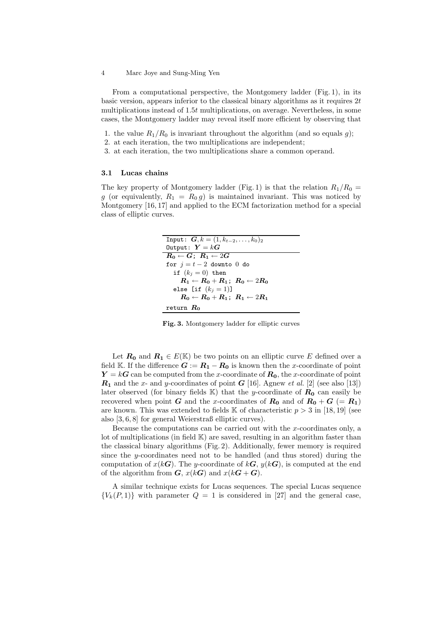From a computational perspective, the Montgomery ladder (Fig. 1), in its basic version, appears inferior to the classical binary algorithms as it requires 2t multiplications instead of 1.5t multiplications, on average. Nevertheless, in some cases, the Montgomery ladder may reveal itself more efficient by observing that

- 1. the value  $R_1/R_0$  is invariant throughout the algorithm (and so equals g);
- 2. at each iteration, the two multiplications are independent;
- 3. at each iteration, the two multiplications share a common operand.

### 3.1 Lucas chains

The key property of Montgomery ladder (Fig. 1) is that the relation  $R_1/R_0 =$ g (or equivalently,  $R_1 = R_0 g$ ) is maintained invariant. This was noticed by Montgomery [16, 17] and applied to the ECM factorization method for a special class of elliptic curves.

| Input: $G, k = (1, k_{t-2}, \ldots, k_0)_2$        |
|----------------------------------------------------|
| Output: $Y = kG$                                   |
| $R_0 \leftarrow G$ ; $R_1 \leftarrow 2G$           |
| for $i=t-2$ downto 0 do                            |
| if $(k_i = 0)$ then                                |
| $R_1 \leftarrow R_0 + R_1$ ; $R_0 \leftarrow 2R_0$ |
| else [if $(k_i = 1)$ ]                             |
| $R_0 \leftarrow R_0 + R_1$ ; $R_1 \leftarrow 2R_1$ |
| return $R_0$                                       |

Fig. 3. Montgomery ladder for elliptic curves

Let  $R_0$  and  $R_1 \in E(\mathbb{K})$  be two points on an elliptic curve E defined over a field K. If the difference  $G := R_1 - R_0$  is known then the x-coordinate of point  $Y = kG$  can be computed from the x-coordinate of  $R_0$ , the x-coordinate of point  $R_1$  and the x- and y-coordinates of point  $G$  [16]. Agnew *et al.* [2] (see also [13]) later observed (for binary fields  $K$ ) that the y-coordinate of  $R_0$  can easily be recovered when point G and the x-coordinates of  $R_0$  and of  $R_0 + G (= R_1)$ are known. This was extended to fields  $\mathbb K$  of characteristic  $p > 3$  in [18, 19] (see also [3, 6, 8] for general Weierstraß elliptic curves).

Because the computations can be carried out with the  $x$ -coordinates only, a lot of multiplications (in field  $K$ ) are saved, resulting in an algorithm faster than the classical binary algorithms (Fig. 2). Additionally, fewer memory is required since the y-coordinates need not to be handled (and thus stored) during the computation of  $x(kG)$ . The y-coordinate of  $kG$ ,  $y(kG)$ , is computed at the end of the algorithm from  $G, x(kG)$  and  $x(kG+G)$ .

A similar technique exists for Lucas sequences. The special Lucas sequence  ${V_k(P, 1)}$  with parameter  $Q = 1$  is considered in [27] and the general case,

<sup>4</sup> Marc Joye and Sung-Ming Yen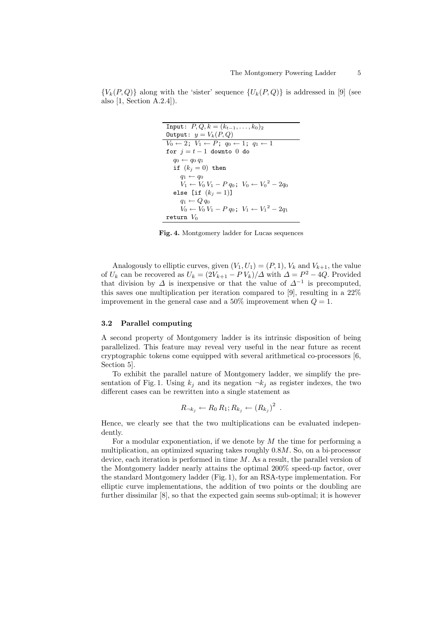${V_k(P,Q)}$  along with the 'sister' sequence  ${U_k(P,Q)}$  is addressed in [9] (see also [1, Section A.2.4]).

Input: 
$$
P, Q, k = (k_{t-1},..., k_0)_2
$$
  
\nOutput:  $y = V_k(P, Q)$   
\n $V_0 \leftarrow 2; V_1 \leftarrow P; q_0 \leftarrow 1; q_1 \leftarrow 1$   
\nfor  $j = t - 1$  down to 0 do  
\n $q_0 \leftarrow q_0 q_1$   
\nif  $(k_j = 0)$  then  
\n $q_1 \leftarrow q_0$   
\n $V_1 \leftarrow V_0 V_1 - P q_0; V_0 \leftarrow V_0^2 - 2q_0$   
\nelse [if  $(k_j = 1)$ ]  
\n $q_1 \leftarrow Q q_0$   
\n $V_0 \leftarrow V_0 V_1 - P q_0; V_1 \leftarrow V_1^2 - 2q_1$   
\nreturn  $V_0$ 

Fig. 4. Montgomery ladder for Lucas sequences

Analogously to elliptic curves, given  $(V_1, U_1) = (P, 1)$ ,  $V_k$  and  $V_{k+1}$ , the value of  $U_k$  can be recovered as  $U_k = \frac{2V_{k+1} - PV_k}{\Delta}$  with  $\Delta = P^2 - 4Q$ . Provided that division by  $\Delta$  is inexpensive or that the value of  $\Delta^{-1}$  is precomputed, this saves one multiplication per iteration compared to [9], resulting in a 22% improvement in the general case and a 50% improvement when  $Q = 1$ .

#### 3.2 Parallel computing

A second property of Montgomery ladder is its intrinsic disposition of being parallelized. This feature may reveal very useful in the near future as recent cryptographic tokens come equipped with several arithmetical co-processors [6, Section 5].

To exhibit the parallel nature of Montgomery ladder, we simplify the presentation of Fig. 1. Using  $k_j$  and its negation  $\neg k_j$  as register indexes, the two different cases can be rewritten into a single statement as

$$
R_{\neg k_j} \leftarrow R_0 R_1; R_{k_j} \leftarrow (R_{k_j})^2.
$$

Hence, we clearly see that the two multiplications can be evaluated independently.

For a modular exponentiation, if we denote by  $M$  the time for performing a multiplication, an optimized squaring takes roughly 0.8M. So, on a bi-processor device, each iteration is performed in time  $M$ . As a result, the parallel version of the Montgomery ladder nearly attains the optimal 200% speed-up factor, over the standard Montgomery ladder (Fig. 1), for an RSA-type implementation. For elliptic curve implementations, the addition of two points or the doubling are further dissimilar [8], so that the expected gain seems sub-optimal; it is however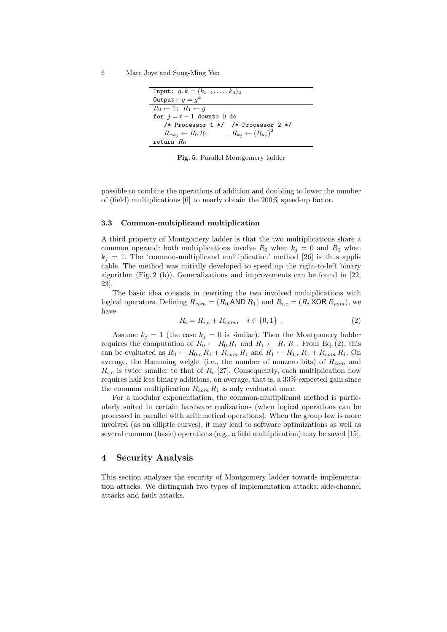```
Input: g, k = (k_{t-1}, \ldots, k_0)_2Output: y = g^kR_0 \leftarrow 1; R_1 \leftarrow gfor j = t - 1 downto 0 do
    /* Processor 1 */ /* Processor 2 */
    R_{\neg k_j} \leftarrow R_0 R_1R_{k_j} \leftarrow (R_{k_j})2
return R_0
```
Fig. 5. Parallel Montgomery ladder

possible to combine the operations of addition and doubling to lower the number of (field) multiplications [6] to nearly obtain the 200% speed-up factor.

#### 3.3 Common-multiplicand multiplication

A third property of Montgomery ladder is that the two multiplications share a common operand: both multiplications involve  $R_0$  when  $k_j = 0$  and  $R_1$  when  $k_j = 1$ . The 'common-multiplicand multiplication' method [26] is thus applicable. The method was initially developed to speed up the right-to-left binary algorithm (Fig. 2 (b)). Generalizations and improvements can be found in [22, 23].

The basic idea consists in rewriting the two involved multiplications with logical operators. Defining  $R_{com} = (R_0 \text{ AND } R_1)$  and  $R_{i,c} = (R_i \text{ XOR } R_{com})$ , we have

$$
R_i = R_{i,c} + R_{com}, \quad i \in \{0, 1\} \tag{2}
$$

Assume  $k_j = 1$  (the case  $k_j = 0$  is similar). Then the Montgomery ladder requires the computation of  $R_0 \leftarrow R_0 R_1$  and  $R_1 \leftarrow R_1 R_1$ . From Eq. (2), this can be evaluated as  $R_0 \leftarrow R_{0,c} R_1 + R_{com} R_1$  and  $R_1 \leftarrow R_{1,c} R_1 + R_{com} R_1$ . On average, the Hamming weight (i.e., the number of nonzero bits) of  $R_{com}$  and  $R_{i,c}$  is twice smaller to that of  $R_i$  [27]. Consequently, each multiplication now requires half less binary additions, on average, that is, a 33% expected gain since the common multiplication  $R_{com} R_1$  is only evaluated once.

For a modular exponentiation, the common-multiplicand method is particularly suited in certain hardware realizations (when logical operations can be processed in parallel with arithmetical operations). When the group law is more involved (as on elliptic curves), it may lead to software optimizations as well as several common (basic) operations (e.g., a field multiplication) may be saved [15].

### 4 Security Analysis

This section analyzes the security of Montgomery ladder towards implementation attacks. We distinguish two types of implementation attacks: side-channel attacks and fault attacks.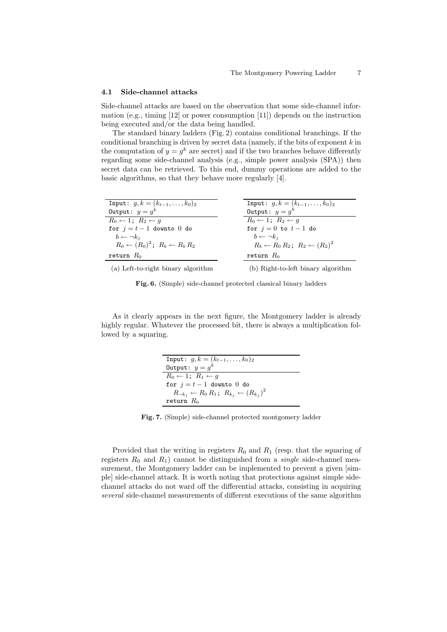#### 4.1 Side-channel attacks

Side-channel attacks are based on the observation that some side-channel information (e.g., timing [12] or power consumption [11]) depends on the instruction being executed and/or the data being handled.

The standard binary ladders (Fig. 2) contains conditional branchings. If the conditional branching is driven by secret data (namely, if the bits of exponent  $k$  in the computation of  $y = g^k$  are secret) and if the two branches behave differently regarding some side-channel analysis (e.g., simple power analysis (SPA)) then secret data can be retrieved. To this end, dummy operations are added to the basic algorithms, so that they behave more regularly [4].

| Input: $g, k = (k_{t-1}, \ldots, k_0)_2$            | Input: $g, k = (k_{t-1}, \ldots, k_0)_2$            |
|-----------------------------------------------------|-----------------------------------------------------|
| Output: $y = g^k$                                   | Output: $y = g^k$                                   |
| $R_0 \leftarrow 1$ ; $R_2 \leftarrow q$             | $R_0 \leftarrow 1$ ; $R_2 \leftarrow q$             |
| for $j=t-1$ downto 0 do                             | for $j=0$ to $t-1$ do                               |
| $b \leftarrow \neg k_i$                             | $b \leftarrow \neg k_i$                             |
| $R_0 \leftarrow (R_0)^2$ ; $R_b \leftarrow R_b R_2$ | $R_b \leftarrow R_0 R_2$ ; $R_2 \leftarrow (R_2)^2$ |
| return $R_0$                                        | return $R_0$                                        |
| (a) Left-to-right binary algorithm                  | (b) Right-to-left binary algorithm                  |

Fig. 6. (Simple) side-channel protected classical binary ladders

As it clearly appears in the next figure, the Montgomery ladder is already highly regular. Whatever the processed bit, there is always a multiplication followed by a squaring.

| Input: $g, k = (k_{t-1}, \ldots, k_0)_2$                          |
|-------------------------------------------------------------------|
| Output: $y = g^k$                                                 |
| $R_0 \leftarrow 1$ ; $R_1 \leftarrow q$                           |
| for $i=t-1$ downto 0 do                                           |
| $R_{\neg k_j} \leftarrow R_0 R_1; R_{k_j} \leftarrow (R_{k_j})^2$ |
| return $R_0$                                                      |

Fig. 7. (Simple) side-channel protected montgomery ladder

Provided that the writing in registers  $R_0$  and  $R_1$  (resp. that the squaring of registers  $R_0$  and  $R_1$ ) cannot be distinguished from a *single* side-channel measurement, the Montgomery ladder can be implemented to prevent a given  $[sim]$ ple] side-channel attack. It is worth noting that protections against simple sidechannel attacks do not ward off the differential attacks, consisting in acquiring several side-channel measurements of different executions of the same algorithm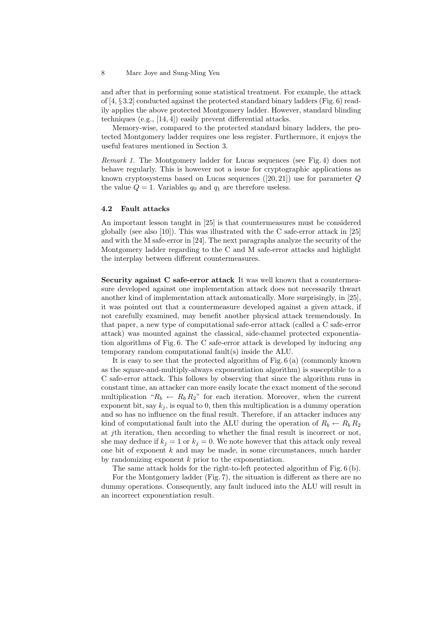and after that in performing some statistical treatment. For example, the attack of [4,  $\S 3.2$ ] conducted against the protected standard binary ladders (Fig. 6) readily applies the above protected Montgomery ladder. However, standard blinding techniques (e.g., [14, 4]) easily prevent differential attacks.

Memory-wise, compared to the protected standard binary ladders, the protected Montgomery ladder requires one less register. Furthermore, it enjoys the useful features mentioned in Section 3.

Remark 1. The Montgomery ladder for Lucas sequences (see Fig. 4) does not behave regularly. This is however not a issue for cryptographic applications as known cryptosystems based on Lucas sequences  $([20, 21])$  use for parameter  $Q$ the value  $Q = 1$ . Variables  $q_0$  and  $q_1$  are therefore useless.

## 4.2 Fault attacks

An important lesson taught in [25] is that countermeasures must be considered globally (see also [10]). This was illustrated with the C safe-error attack in [25] and with the M safe-error in [24]. The next paragraphs analyze the security of the Montgomery ladder regarding to the C and M safe-error attacks and highlight the interplay between different countermeasures.

Security against C safe-error attack It was well known that a countermeasure developed against one implementation attack does not necessarily thwart another kind of implementation attack automatically. More surprisingly, in [25], it was pointed out that a countermeasure developed against a given attack, if not carefully examined, may benefit another physical attack tremendously. In that paper, a new type of computational safe-error attack (called a C safe-error attack) was mounted against the classical, side-channel protected exponentiation algorithms of Fig. 6. The C safe-error attack is developed by inducing any temporary random computational fault(s) inside the ALU.

It is easy to see that the protected algorithm of Fig. 6 (a) (commonly known as the square-and-multiply-always exponentiation algorithm) is susceptible to a C safe-error attack. This follows by observing that since the algorithm runs in constant time, an attacker can more easily locate the exact moment of the second multiplication " $R_b \leftarrow R_b R_2$ " for each iteration. Moreover, when the current exponent bit, say  $k_j$ , is equal to 0, then this multiplication is a dummy operation and so has no influence on the final result. Therefore, if an attacker induces any kind of computational fault into the ALU during the operation of  $R_b \leftarrow R_b R_2$ at jth iteration, then according to whether the final result is incorrect or not, she may deduce if  $k_i = 1$  or  $k_i = 0$ . We note however that this attack only reveal one bit of exponent  $k$  and may be made, in some circumstances, much harder by randomizing exponent  $k$  prior to the exponentiation.

The same attack holds for the right-to-left protected algorithm of Fig. 6 (b). For the Montgomery ladder (Fig. 7), the situation is different as there are no dummy operations. Consequently, any fault induced into the ALU will result in an incorrect exponentiation result.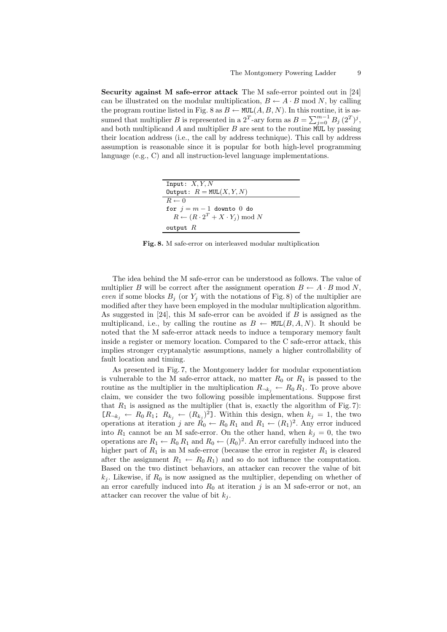Security against M safe-error attack The M safe-error pointed out in [24] can be illustrated on the modular multiplication,  $B \leftarrow A \cdot B$  mod N, by calling the program routine listed in Fig. 8 as  $B \leftarrow \text{MUL}(A, B, N)$ . In this routine, it is assumed that multiplier B is represented in a  $2^T$ -ary form as  $B = \sum_{j=0}^{m-1} B_j (2^T)^j$ , and both multiplicand A and multiplier B are sent to the routine MUL by passing their location address (i.e., the call by address technique). This call by address assumption is reasonable since it is popular for both high-level programming language (e.g., C) and all instruction-level language implementations.

| Input: $X, Y, N$                                          |
|-----------------------------------------------------------|
| Output: $R = \text{MUL}(X, Y, N)$                         |
| $R \leftarrow 0$                                          |
| for $j = m - 1$ downto 0 do                               |
| $R \leftarrow (R \cdot 2^T + X \cdot Y_j) \text{ mod } N$ |
| output $R$                                                |

Fig. 8. M safe-error on interleaved modular multiplication

The idea behind the M safe-error can be understood as follows. The value of multiplier B will be correct after the assignment operation  $B \leftarrow A \cdot B \mod N$ , even if some blocks  $B_i$  (or  $Y_i$  with the notations of Fig. 8) of the multiplier are modified after they have been employed in the modular multiplication algorithm. As suggested in  $[24]$ , this M safe-error can be avoided if  $B$  is assigned as the multiplicand, i.e., by calling the routine as  $B \leftarrow \text{MUL}(B, A, N)$ . It should be noted that the M safe-error attack needs to induce a temporary memory fault inside a register or memory location. Compared to the C safe-error attack, this implies stronger cryptanalytic assumptions, namely a higher controllability of fault location and timing.

As presented in Fig. 7, the Montgomery ladder for modular exponentiation is vulnerable to the M safe-error attack, no matter  $R_0$  or  $R_1$  is passed to the routine as the multiplier in the multiplication  $R_{\neg k_j} \leftarrow R_0 R_1$ . To prove above claim, we consider the two following possible implementations. Suppose first that  $R_1$  is assigned as the multiplier (that is, exactly the algorithm of Fig. 7):  $[R_{\neg k_j} \leftarrow R_0 R_1; R_{k_j} \leftarrow (R_{k_j})^2$ . Within this design, when  $k_j = 1$ , the two operations at iteration j are  $R_0 \leftarrow R_0 R_1$  and  $R_1 \leftarrow (R_1)^2$ . Any error induced into  $R_1$  cannot be an M safe-error. On the other hand, when  $k_j = 0$ , the two operations are  $R_1 \leftarrow R_0 R_1$  and  $R_0 \leftarrow (R_0)^2$ . An error carefully induced into the higher part of  $R_1$  is an M safe-error (because the error in register  $R_1$  is cleared after the assignment  $R_1 \leftarrow R_0 R_1$  and so do not influence the computation. Based on the two distinct behaviors, an attacker can recover the value of bit  $k_i$ . Likewise, if  $R_0$  is now assigned as the multiplier, depending on whether of an error carefully induced into  $R_0$  at iteration j is an M safe-error or not, an attacker can recover the value of bit  $k_i$ .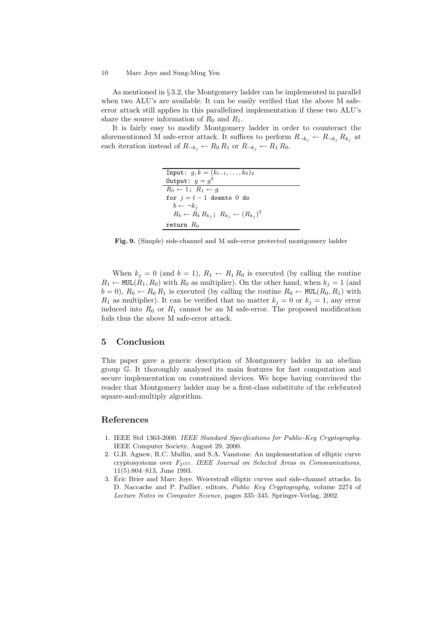As mentioned in § 3.2, the Montgomery ladder can be implemented in parallel when two ALU's are available. It can be easily verified that the above M safeerror attack still applies in this parallelized implementation if these two ALU's share the source information of  $R_0$  and  $R_1$ .

It is fairly easy to modify Montgomery ladder in order to counteract the aforementioned M safe-error attack. It suffices to perform  $R_{\neg k_j} \leftarrow R_{\neg k_j} R_{k_j}$  at each iteration instead of  $R_{\neg k_j} \leftarrow R_0 R_1$  or  $R_{\neg k_j} \leftarrow R_1 R_0$ .

| Input: $q, k = (k_{t-1}, \ldots, k_0)_2$                     |
|--------------------------------------------------------------|
| Output: $y = g^k$                                            |
| $R_0 \leftarrow 1$ ; $R_1 \leftarrow q$                      |
| for $i=t-1$ downto 0 do                                      |
| $b \leftarrow \neg k_i$                                      |
| $R_b \leftarrow R_b R_{k_i}; R_{k_i} \leftarrow (R_{k_i})^2$ |
| return $R_0$                                                 |

Fig. 9. (Simple) side-channel and M safe-error protected montgomery ladder

When  $k_j = 0$  (and  $b = 1$ ),  $R_1 \leftarrow R_1 R_0$  is executed (by calling the routine  $R_1 \leftarrow \text{MUL}(R_1, R_0)$  with  $R_0$  as multiplier). On the other hand, when  $k_j = 1$  (and  $b = 0$ ,  $R_0 \leftarrow R_0 R_1$  is executed (by calling the routine  $R_0 \leftarrow \text{MUL}(R_0, R_1)$  with  $R_1$  as multiplier). It can be verified that no matter  $k_i = 0$  or  $k_i = 1$ , any error induced into  $R_0$  or  $R_1$  cannot be an M safe-error. The proposed modification foils thus the above M safe-error attack.

# 5 Conclusion

This paper gave a generic description of Montgomery ladder in an abelian group G. It thoroughly analyzed its main features for fast computation and secure implementation on constrained devices. We hope having convinced the reader that Montgomery ladder may be a first-class substitute of the celebrated square-and-multiply algorithm.

# References

- 1. IEEE Std 1363-2000. IEEE Standard Specifications for Public-Key Cryptography. IEEE Computer Society, August 29, 2000.
- 2. G.B. Agnew, R.C. Mullin, and S.A. Vanstone. An implementation of elliptic curve cryptosystems over  $F_{2^{155}}$ . IEEE Journal on Selected Areas in Communications, 11(5):804–813, June 1993.
- 3. Eric Brier and Marc Joye. Weierstraß elliptic curves and side-channel attacks. In ´ D. Naccache and P. Paillier, editors, Public Key Cryptography, volume 2274 of Lecture Notes in Computer Science, pages 335–345. Springer-Verlag, 2002.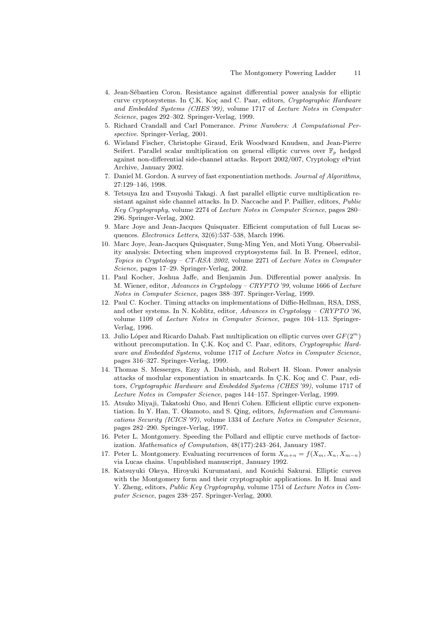- 4. Jean-Sébastien Coron. Resistance against differential power analysis for elliptic curve cryptosystems. In Ç.K. Koç and C. Paar, editors, *Cryptographic Hardware* and Embedded Systems (CHES '99), volume 1717 of Lecture Notes in Computer Science, pages 292–302. Springer-Verlag, 1999.
- 5. Richard Crandall and Carl Pomerance. Prime Numbers: A Computational Perspective. Springer-Verlag, 2001.
- 6. Wieland Fischer, Christophe Giraud, Erik Woodward Knudsen, and Jean-Pierre Seifert. Parallel scalar multiplication on general elliptic curves over  $\mathbb{F}_p$  hedged against non-differential side-channel attacks. Report 2002/007, Cryptology ePrint Archive, January 2002.
- 7. Daniel M. Gordon. A survey of fast exponentiation methods. Journal of Algorithms, 27:129–146, 1998.
- 8. Tetsuya Izu and Tsuyoshi Takagi. A fast parallel elliptic curve multiplication resistant against side channel attacks. In D. Naccache and P. Paillier, editors, Public Key Cryptography, volume 2274 of Lecture Notes in Computer Science, pages 280– 296. Springer-Verlag, 2002.
- 9. Marc Joye and Jean-Jacques Quisquater. Efficient computation of full Lucas sequences. Electronics Letters, 32(6):537–538, March 1996.
- 10. Marc Joye, Jean-Jacques Quisquater, Sung-Ming Yen, and Moti Yung. Observability analysis: Detecting when improved cryptosystems fail. In B. Preneel, editor, Topics in Cryptology – CT-RSA 2002, volume 2271 of Lecture Notes in Computer Science, pages 17–29. Springer-Verlag, 2002.
- 11. Paul Kocher, Joshua Jaffe, and Benjamin Jun. Differential power analysis. In M. Wiener, editor, Advances in Cryptology – CRYPTO '99, volume 1666 of Lecture Notes in Computer Science, pages 388–397. Springer-Verlag, 1999.
- 12. Paul C. Kocher. Timing attacks on implementations of Diffie-Hellman, RSA, DSS, and other systems. In N. Koblitz, editor, Advances in Cryptology – CRYPTO '96, volume 1109 of Lecture Notes in Computer Science, pages 104–113. Springer-Verlag, 1996.
- 13. Julio López and Ricardo Dahab. Fast multiplication on elliptic curves over  $GF(2<sup>m</sup>)$ without precomputation. In Ç.K. Koç and C. Paar, editors, Cryptographic Hardware and Embedded Systems, volume 1717 of Lecture Notes in Computer Science, pages 316–327. Springer-Verlag, 1999.
- 14. Thomas S. Messerges, Ezzy A. Dabbish, and Robert H. Sloan. Power analysis attacks of modular exponentiation in smartcards. In C.K. Koç and C. Paar, editors, Cryptographic Hardware and Embedded Systems (CHES '99), volume 1717 of Lecture Notes in Computer Science, pages 144–157. Springer-Verlag, 1999.
- 15. Atsuko Miyaji, Takatoshi Ono, and Henri Cohen. Efficient elliptic curve exponentiation. In Y. Han, T. Okamoto, and S. Qing, editors, Information and Communications Security (ICICS '97), volume 1334 of Lecture Notes in Computer Science, pages 282–290. Springer-Verlag, 1997.
- 16. Peter L. Montgomery. Speeding the Pollard and elliptic curve methods of factorization. Mathematics of Computation, 48(177):243–264, January 1987.
- 17. Peter L. Montgomery. Evaluating recurrences of form  $X_{m+n} = f(X_m, X_n, X_{m-n})$ via Lucas chains. Unpublished manuscript, January 1992.
- 18. Katsuyuki Okeya, Hiroyuki Kurumatani, and Kouichi Sakurai. Elliptic curves with the Montgomery form and their cryptographic applications. In H. Imai and Y. Zheng, editors, Public Key Cryptography, volume 1751 of Lecture Notes in Computer Science, pages 238–257. Springer-Verlag, 2000.